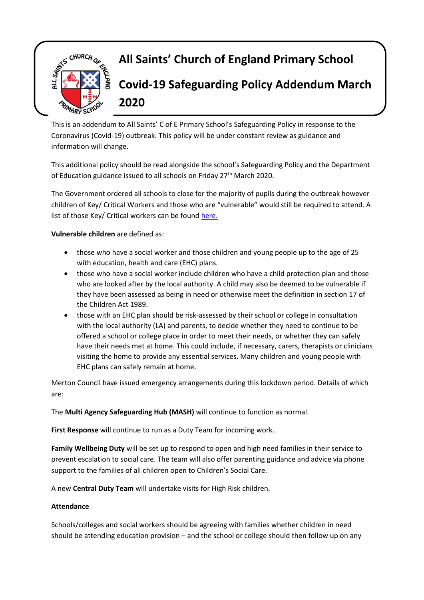

This is an addendum to All Saints' C of E Primary School's Safeguarding Policy in response to the Coronavirus (Covid-19) outbreak. This policy will be under constant review as guidance and information will change.

This additional policy should be read alongside the school's Safeguarding Policy and the Department of Education guidance issued to all schools on Friday 27<sup>th</sup> March 2020.

The Government ordered all schools to close for the majority of pupils during the outbreak however children of Key/ Critical Workers and those who are "vulnerable" would still be required to attend. A list of those Key/ Critical workers can be foun[d here.](https://www.gov.uk/government/publications/coronavirus-covid-19-maintaining-educational-provision/guidance-for-schools-colleges-and-local-authorities-on-maintaining-educational-provision)

**Vulnerable children** are defined as:

- those who have a social worker and those children and young people up to the age of 25 with education, health and care (EHC) plans.
- those who have a social worker include children who have a child protection plan and those who are looked after by the local authority. A child may also be deemed to be vulnerable if they have been assessed as being in need or otherwise meet the definition in section 17 of the Children Act 1989.
- those with an EHC plan should be risk-assessed by their school or college in consultation with the local authority (LA) and parents, to decide whether they need to continue to be offered a school or college place in order to meet their needs, or whether they can safely have their needs met at home. This could include, if necessary, carers, therapists or clinicians visiting the home to provide any essential services. Many children and young people with EHC plans can safely remain at home.

Merton Council have issued emergency arrangements during this lockdown period. Details of which are:

The **Multi Agency Safeguarding Hub (MASH)** will continue to function as normal.

**First Response** will continue to run as a Duty Team for incoming work.

**Family Wellbeing Duty** will be set up to respond to open and high need families in their service to prevent escalation to social care. The team will also offer parenting guidance and advice via phone support to the families of all children open to Children's Social Care.

A new **Central Duty Team** will undertake visits for High Risk children.

#### **Attendance**

Schools/colleges and social workers should be agreeing with families whether children in need should be attending education provision – and the school or college should then follow up on any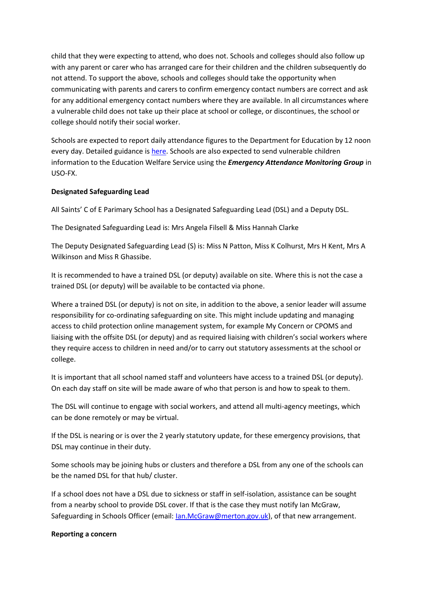child that they were expecting to attend, who does not. Schools and colleges should also follow up with any parent or carer who has arranged care for their children and the children subsequently do not attend. To support the above, schools and colleges should take the opportunity when communicating with parents and carers to confirm emergency contact numbers are correct and ask for any additional emergency contact numbers where they are available. In all circumstances where a vulnerable child does not take up their place at school or college, or discontinues, the school or college should notify their social worker.

Schools are expected to report daily attendance figures to the Department for Education by 12 noon every day. Detailed guidance i[s here.](https://www.gov.uk/government/publications/coronavirus-covid-19-attendance-recording-for-educational-settings/educational-settings-self-reporting-online-form-frequently-asked-questions-faq) Schools are also expected to send vulnerable children information to the Education Welfare Service using the *Emergency Attendance Monitoring Group* in USO-FX.

### **Designated Safeguarding Lead**

All Saints' C of E Parimary School has a Designated Safeguarding Lead (DSL) and a Deputy DSL.

The Designated Safeguarding Lead is: Mrs Angela Filsell & Miss Hannah Clarke

The Deputy Designated Safeguarding Lead (S) is: Miss N Patton, Miss K Colhurst, Mrs H Kent, Mrs A Wilkinson and Miss R Ghassibe.

It is recommended to have a trained DSL (or deputy) available on site. Where this is not the case a trained DSL (or deputy) will be available to be contacted via phone.

Where a trained DSL (or deputy) is not on site, in addition to the above, a senior leader will assume responsibility for co-ordinating safeguarding on site. This might include updating and managing access to child protection online management system, for example My Concern or CPOMS and liaising with the offsite DSL (or deputy) and as required liaising with children's social workers where they require access to children in need and/or to carry out statutory assessments at the school or college.

It is important that all school named staff and volunteers have access to a trained DSL (or deputy). On each day staff on site will be made aware of who that person is and how to speak to them.

The DSL will continue to engage with social workers, and attend all multi-agency meetings, which can be done remotely or may be virtual.

If the DSL is nearing or is over the 2 yearly statutory update, for these emergency provisions, that DSL may continue in their duty.

Some schools may be joining hubs or clusters and therefore a DSL from any one of the schools can be the named DSL for that hub/ cluster.

If a school does not have a DSL due to sickness or staff in self-isolation, assistance can be sought from a nearby school to provide DSL cover. If that is the case they must notify Ian McGraw, Safeguarding in Schools Officer (email: <u>Ian.McGraw@merton.gov.uk</u>), of that new arrangement.

#### **Reporting a concern**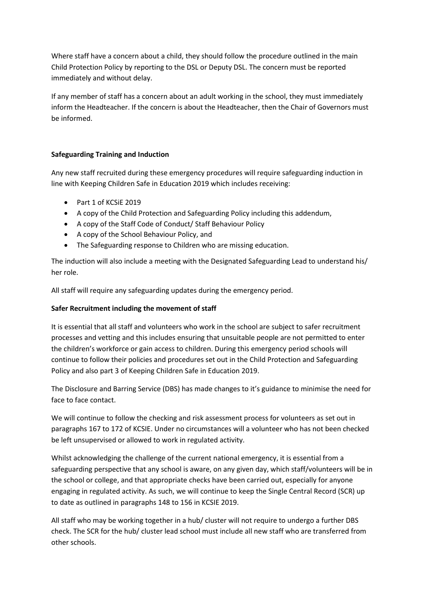Where staff have a concern about a child, they should follow the procedure outlined in the main Child Protection Policy by reporting to the DSL or Deputy DSL. The concern must be reported immediately and without delay.

If any member of staff has a concern about an adult working in the school, they must immediately inform the Headteacher. If the concern is about the Headteacher, then the Chair of Governors must be informed.

# **Safeguarding Training and Induction**

Any new staff recruited during these emergency procedures will require safeguarding induction in line with Keeping Children Safe in Education 2019 which includes receiving:

- Part 1 of KCSiE 2019
- A copy of the Child Protection and Safeguarding Policy including this addendum,
- A copy of the Staff Code of Conduct/ Staff Behaviour Policy
- A copy of the School Behaviour Policy, and
- The Safeguarding response to Children who are missing education.

The induction will also include a meeting with the Designated Safeguarding Lead to understand his/ her role.

All staff will require any safeguarding updates during the emergency period.

# **Safer Recruitment including the movement of staff**

It is essential that all staff and volunteers who work in the school are subject to safer recruitment processes and vetting and this includes ensuring that unsuitable people are not permitted to enter the children's workforce or gain access to children. During this emergency period schools will continue to follow their policies and procedures set out in the Child Protection and Safeguarding Policy and also part 3 of Keeping Children Safe in Education 2019.

The Disclosure and Barring Service (DBS) has made changes to it's guidance to minimise the need for face to face contact.

We will continue to follow the checking and risk assessment process for volunteers as set out in paragraphs 167 to 172 of KCSIE. Under no circumstances will a volunteer who has not been checked be left unsupervised or allowed to work in regulated activity.

Whilst acknowledging the challenge of the current national emergency, it is essential from a safeguarding perspective that any school is aware, on any given day, which staff/volunteers will be in the school or college, and that appropriate checks have been carried out, especially for anyone engaging in regulated activity. As such, we will continue to keep the Single Central Record (SCR) up to date as outlined in paragraphs 148 to 156 in KCSIE 2019.

All staff who may be working together in a hub/ cluster will not require to undergo a further DBS check. The SCR for the hub/ cluster lead school must include all new staff who are transferred from other schools.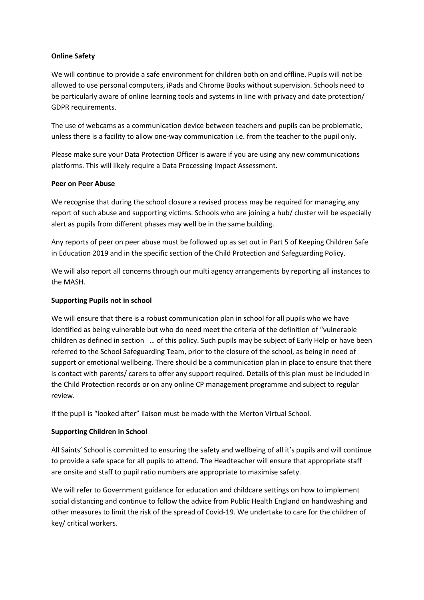## **Online Safety**

We will continue to provide a safe environment for children both on and offline. Pupils will not be allowed to use personal computers, iPads and Chrome Books without supervision. Schools need to be particularly aware of online learning tools and systems in line with privacy and date protection/ GDPR requirements.

The use of webcams as a communication device between teachers and pupils can be problematic, unless there is a facility to allow one-way communication i.e. from the teacher to the pupil only.

Please make sure your Data Protection Officer is aware if you are using any new communications platforms. This will likely require a Data Processing Impact Assessment.

### **Peer on Peer Abuse**

We recognise that during the school closure a revised process may be required for managing any report of such abuse and supporting victims. Schools who are joining a hub/ cluster will be especially alert as pupils from different phases may well be in the same building.

Any reports of peer on peer abuse must be followed up as set out in Part 5 of Keeping Children Safe in Education 2019 and in the specific section of the Child Protection and Safeguarding Policy.

We will also report all concerns through our multi agency arrangements by reporting all instances to the MASH.

## **Supporting Pupils not in school**

We will ensure that there is a robust communication plan in school for all pupils who we have identified as being vulnerable but who do need meet the criteria of the definition of "vulnerable children as defined in section … of this policy. Such pupils may be subject of Early Help or have been referred to the School Safeguarding Team, prior to the closure of the school, as being in need of support or emotional wellbeing. There should be a communication plan in place to ensure that there is contact with parents/ carers to offer any support required. Details of this plan must be included in the Child Protection records or on any online CP management programme and subject to regular review.

If the pupil is "looked after" liaison must be made with the Merton Virtual School.

# **Supporting Children in School**

All Saints' School is committed to ensuring the safety and wellbeing of all it's pupils and will continue to provide a safe space for all pupils to attend. The Headteacher will ensure that appropriate staff are onsite and staff to pupil ratio numbers are appropriate to maximise safety.

We will refer to Government guidance for education and childcare settings on how to implement social distancing and continue to follow the advice from Public Health England on handwashing and other measures to limit the risk of the spread of Covid-19. We undertake to care for the children of key/ critical workers.